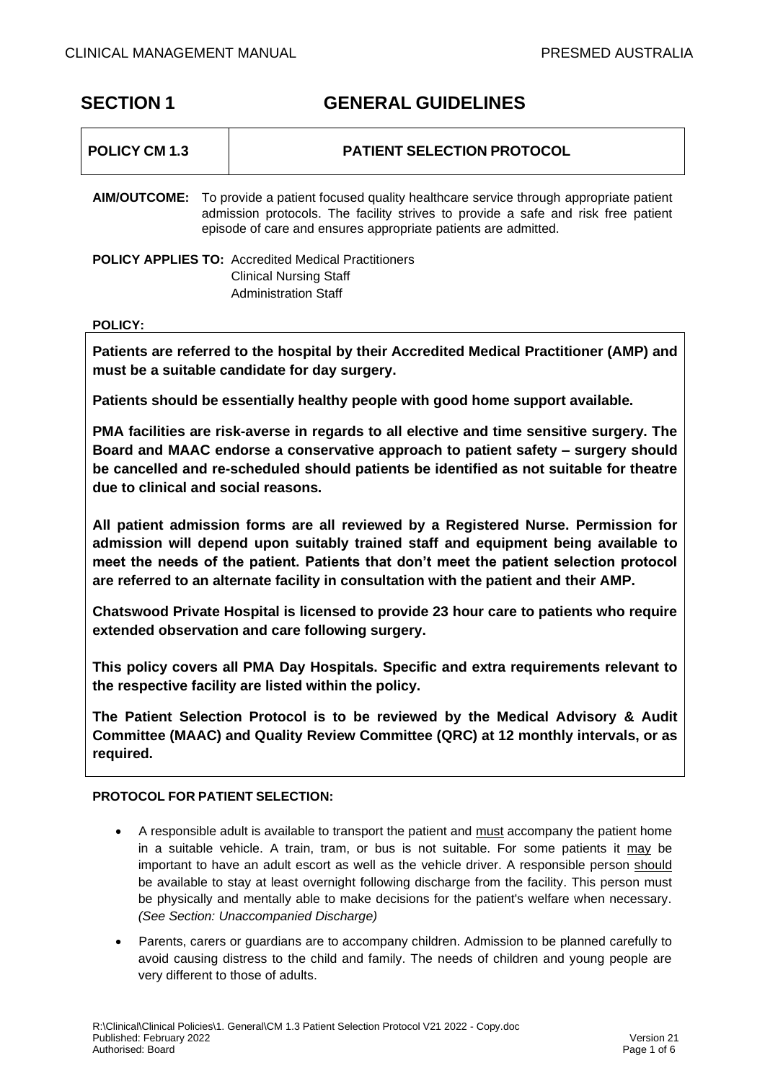# **SECTION 1 GENERAL GUIDELINES**

| POLICY CM 1.3  | <b>PATIENT SELECTION PROTOCOL</b>                                                                                                                                                                                                                              |
|----------------|----------------------------------------------------------------------------------------------------------------------------------------------------------------------------------------------------------------------------------------------------------------|
|                | <b>AIM/OUTCOME:</b> To provide a patient focused quality healthcare service through appropriate patient<br>admission protocols. The facility strives to provide a safe and risk free patient<br>episode of care and ensures appropriate patients are admitted. |
|                | <b>POLICY APPLIES TO: Accredited Medical Practitioners</b><br><b>Clinical Nursing Staff</b><br>Administration Staff                                                                                                                                            |
| <b>POLICY:</b> |                                                                                                                                                                                                                                                                |

**Patients are referred to the hospital by their Accredited Medical Practitioner (AMP) and must be a suitable candidate for day surgery.** 

**Patients should be essentially healthy people with good home support available.**

**PMA facilities are risk-averse in regards to all elective and time sensitive surgery. The Board and MAAC endorse a conservative approach to patient safety – surgery should be cancelled and re-scheduled should patients be identified as not suitable for theatre due to clinical and social reasons.** 

**All patient admission forms are all reviewed by a Registered Nurse. Permission for admission will depend upon suitably trained staff and equipment being available to meet the needs of the patient. Patients that don't meet the patient selection protocol are referred to an alternate facility in consultation with the patient and their AMP.**

**Chatswood Private Hospital is licensed to provide 23 hour care to patients who require extended observation and care following surgery.**

**This policy covers all PMA Day Hospitals. Specific and extra requirements relevant to the respective facility are listed within the policy.** 

**The Patient Selection Protocol is to be reviewed by the Medical Advisory & Audit Committee (MAAC) and Quality Review Committee (QRC) at 12 monthly intervals, or as required.**

# **PROTOCOL FOR PATIENT SELECTION:**

- A responsible adult is available to transport the patient and must accompany the patient home in a suitable vehicle. A train, tram, or bus is not suitable. For some patients it may be important to have an adult escort as well as the vehicle driver. A responsible person should be available to stay at least overnight following discharge from the facility. This person must be physically and mentally able to make decisions for the patient's welfare when necessary. *(See Section: Unaccompanied Discharge)*
- Parents, carers or guardians are to accompany children. Admission to be planned carefully to avoid causing distress to the child and family. The needs of children and young people are very different to those of adults.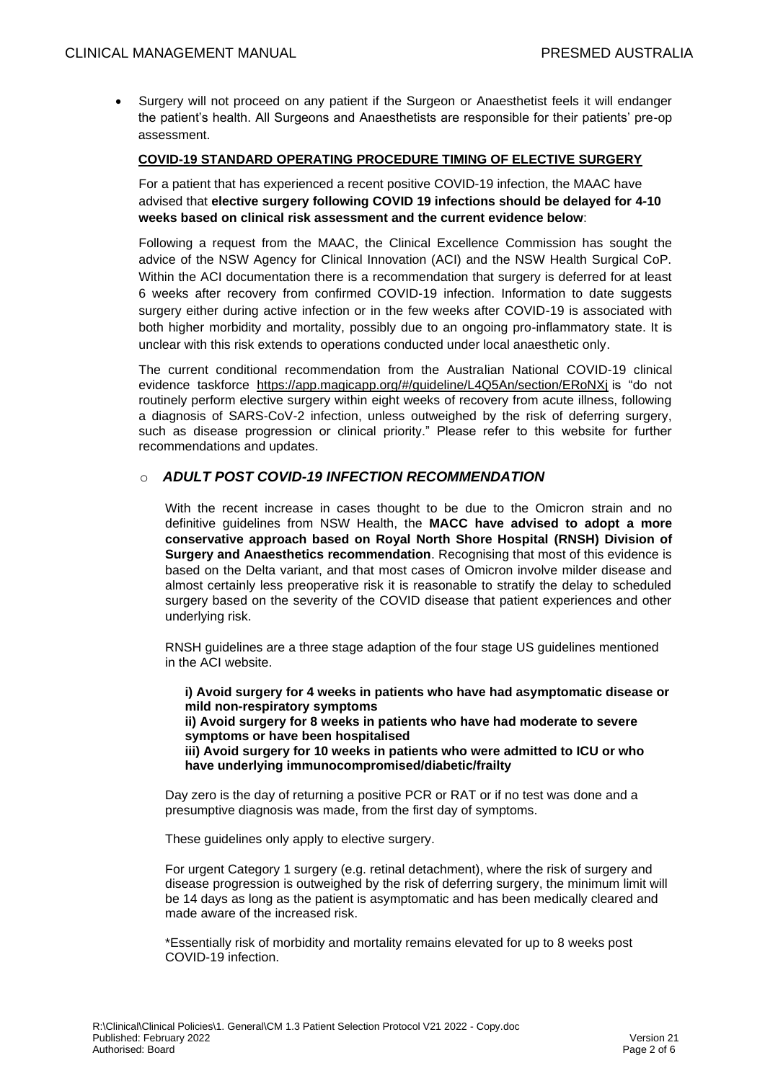• Surgery will not proceed on any patient if the Surgeon or Anaesthetist feels it will endanger the patient's health. All Surgeons and Anaesthetists are responsible for their patients' pre-op assessment.

#### **COVID-19 STANDARD OPERATING PROCEDURE TIMING OF ELECTIVE SURGERY**

For a patient that has experienced a recent positive COVID-19 infection, the MAAC have advised that **elective surgery following COVID 19 infections should be delayed for 4-10 weeks based on clinical risk assessment and the current evidence below**:

Following a request from the MAAC, the Clinical Excellence Commission has sought the advice of the NSW Agency for Clinical Innovation (ACI) and the NSW Health Surgical CoP. Within the ACI documentation there is a recommendation that surgery is deferred for at least 6 weeks after recovery from confirmed COVID-19 infection. Information to date suggests surgery either during active infection or in the few weeks after COVID-19 is associated with both higher morbidity and mortality, possibly due to an ongoing pro-inflammatory state. It is unclear with this risk extends to operations conducted under local anaesthetic only.

The current conditional recommendation from the Australian National COVID-19 clinical evidence taskforce <https://app.magicapp.org/#/guideline/L4Q5An/section/ERoNXj> is "do not routinely perform elective surgery within eight weeks of recovery from acute illness, following a diagnosis of SARS-CoV-2 infection, unless outweighed by the risk of deferring surgery, such as disease progression or clinical priority." Please refer to this website for further recommendations and updates.

# o *ADULT POST COVID-19 INFECTION RECOMMENDATION*

With the recent increase in cases thought to be due to the Omicron strain and no definitive guidelines from NSW Health, the **MACC have advised to adopt a more conservative approach based on Royal North Shore Hospital (RNSH) Division of Surgery and Anaesthetics recommendation**. Recognising that most of this evidence is based on the Delta variant, and that most cases of Omicron involve milder disease and almost certainly less preoperative risk it is reasonable to stratify the delay to scheduled surgery based on the severity of the COVID disease that patient experiences and other underlying risk.

RNSH guidelines are a three stage adaption of the four stage US guidelines mentioned in the ACI website.

**i) Avoid surgery for 4 weeks in patients who have had asymptomatic disease or mild non-respiratory symptoms ii) Avoid surgery for 8 weeks in patients who have had moderate to severe symptoms or have been hospitalised iii) Avoid surgery for 10 weeks in patients who were admitted to ICU or who have underlying immunocompromised/diabetic/frailty**

Day zero is the day of returning a positive PCR or RAT or if no test was done and a presumptive diagnosis was made, from the first day of symptoms.

These guidelines only apply to elective surgery.

For urgent Category 1 surgery (e.g. retinal detachment), where the risk of surgery and disease progression is outweighed by the risk of deferring surgery, the minimum limit will be 14 days as long as the patient is asymptomatic and has been medically cleared and made aware of the increased risk.

\*Essentially risk of morbidity and mortality remains elevated for up to 8 weeks post COVID-19 infection.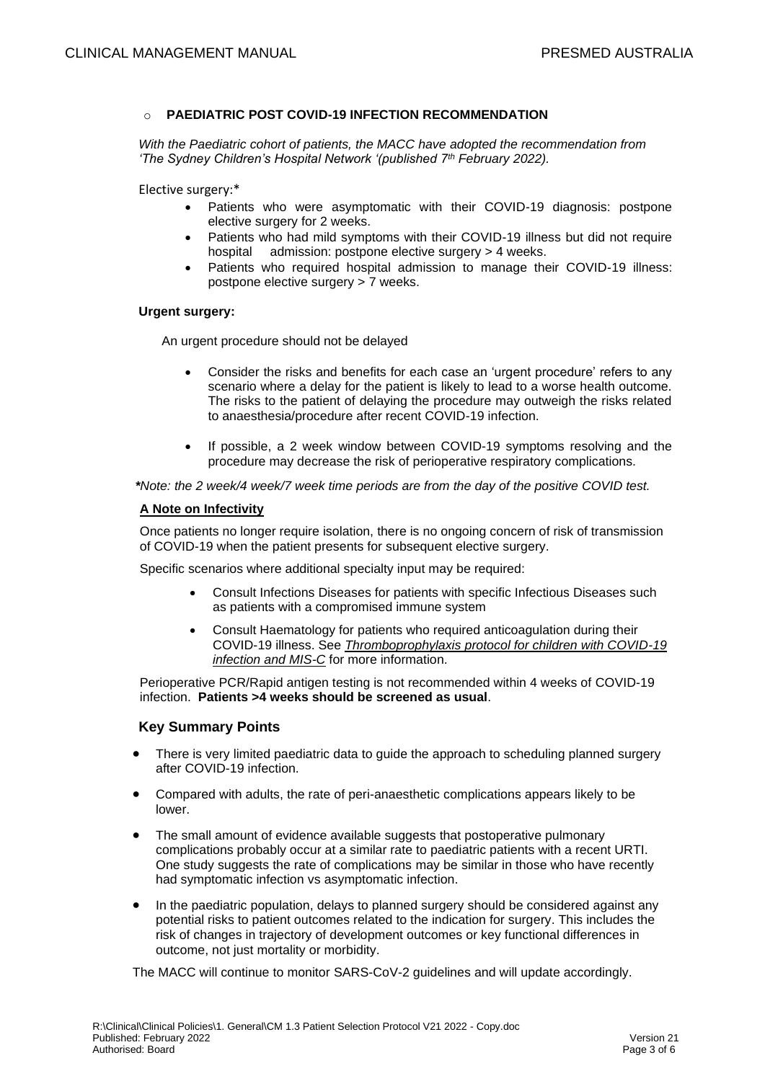#### **PAEDIATRIC POST COVID-19 INFECTION RECOMMENDATION**

*With the Paediatric cohort of patients, the MACC have adopted the recommendation from 'The Sydney Children's Hospital Network '(published 7th February 2022).*

Elective surgery:\*

- Patients who were asymptomatic with their COVID-19 diagnosis: postpone elective surgery for 2 weeks.
- Patients who had mild symptoms with their COVID-19 illness but did not require hospital admission: postpone elective surgery > 4 weeks.
- Patients who required hospital admission to manage their COVID-19 illness: postpone elective surgery > 7 weeks.

### **Urgent surgery:**

An urgent procedure should not be delayed

- Consider the risks and benefits for each case an 'urgent procedure' refers to any scenario where a delay for the patient is likely to lead to a worse health outcome. The risks to the patient of delaying the procedure may outweigh the risks related to anaesthesia/procedure after recent COVID-19 infection.
- If possible, a 2 week window between COVID-19 symptoms resolving and the procedure may decrease the risk of perioperative respiratory complications.

 *\*Note: the 2 week/4 week/7 week time periods are from the day of the positive COVID test.*

#### **A Note on Infectivity**

Once patients no longer require isolation, there is no ongoing concern of risk of transmission of COVID-19 when the patient presents for subsequent elective surgery.

Specific scenarios where additional specialty input may be required:

- Consult Infections Diseases for patients with specific Infectious Diseases such as patients with a compromised immune system
- Consult Haematology for patients who required anticoagulation during their COVID-19 illness. See *[Thromboprophylaxis protocol for children with COVID-19](https://intranet.schn.health.nsw.gov.au/files/attachments/8018/s128v1-thromboprophylaxis-children-covid19-infection-and-mis-c.pdf)  [infection and MIS-C](https://intranet.schn.health.nsw.gov.au/files/attachments/8018/s128v1-thromboprophylaxis-children-covid19-infection-and-mis-c.pdf)* for more information.

Perioperative PCR/Rapid antigen testing is not recommended within 4 weeks of COVID-19 infection. **Patients >4 weeks should be screened as usual**.

#### **Key Summary Points**

- There is very limited paediatric data to guide the approach to scheduling planned surgery after COVID-19 infection.
- Compared with adults, the rate of peri-anaesthetic complications appears likely to be lower.
- The small amount of evidence available suggests that postoperative pulmonary complications probably occur at a similar rate to paediatric patients with a recent URTI. One study suggests the rate of complications may be similar in those who have recently had symptomatic infection vs asymptomatic infection.
- In the paediatric population, delays to planned surgery should be considered against any potential risks to patient outcomes related to the indication for surgery. This includes the risk of changes in trajectory of development outcomes or key functional differences in outcome, not just mortality or morbidity.

The MACC will continue to monitor SARS-CoV-2 guidelines and will update accordingly.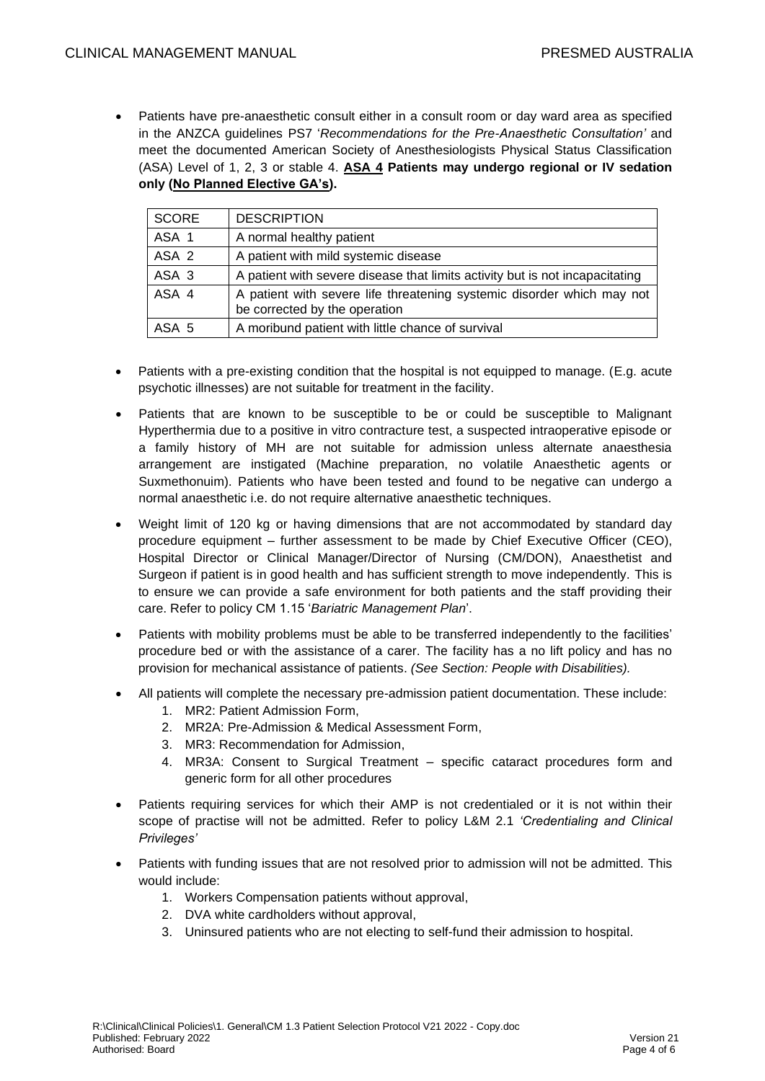• Patients have pre-anaesthetic consult either in a consult room or day ward area as specified in the ANZCA guidelines PS7 '*Recommendations for the Pre-Anaesthetic Consultation'* and meet the documented American Society of Anesthesiologists Physical Status Classification (ASA) Level of 1, 2, 3 or stable 4. **ASA 4 Patients may undergo regional or IV sedation only (No Planned Elective GA's).** 

| SCORE            | <b>DESCRIPTION</b>                                                                                      |
|------------------|---------------------------------------------------------------------------------------------------------|
| ASA 1            | A normal healthy patient                                                                                |
| ASA <sub>2</sub> | A patient with mild systemic disease                                                                    |
| ASA 3            | A patient with severe disease that limits activity but is not incapacitating                            |
| ASA 4            | A patient with severe life threatening systemic disorder which may not<br>be corrected by the operation |
| ASA 5            | A moribund patient with little chance of survival                                                       |

- Patients with a pre-existing condition that the hospital is not equipped to manage. (E.g. acute psychotic illnesses) are not suitable for treatment in the facility.
- Patients that are known to be susceptible to be or could be susceptible to Malignant Hyperthermia due to a positive in vitro contracture test, a suspected intraoperative episode or a family history of MH are not suitable for admission unless alternate anaesthesia arrangement are instigated (Machine preparation, no volatile Anaesthetic agents or Suxmethonuim). Patients who have been tested and found to be negative can undergo a normal anaesthetic i.e. do not require alternative anaesthetic techniques.
- Weight limit of 120 kg or having dimensions that are not accommodated by standard day procedure equipment – further assessment to be made by Chief Executive Officer (CEO), Hospital Director or Clinical Manager/Director of Nursing (CM/DON), Anaesthetist and Surgeon if patient is in good health and has sufficient strength to move independently. This is to ensure we can provide a safe environment for both patients and the staff providing their care. Refer to policy CM 1.15 '*Bariatric Management Plan*'.
- Patients with mobility problems must be able to be transferred independently to the facilities' procedure bed or with the assistance of a carer. The facility has a no lift policy and has no provision for mechanical assistance of patients. *(See Section: People with Disabilities).*
- All patients will complete the necessary pre-admission patient documentation. These include:
	- 1. MR2: Patient Admission Form,
	- 2. MR2A: Pre-Admission & Medical Assessment Form,
	- 3. MR3: Recommendation for Admission,
	- 4. MR3A: Consent to Surgical Treatment specific cataract procedures form and generic form for all other procedures
- Patients requiring services for which their AMP is not credentialed or it is not within their scope of practise will not be admitted. Refer to policy L&M 2.1 *'Credentialing and Clinical Privileges'*
- Patients with funding issues that are not resolved prior to admission will not be admitted. This would include:
	- 1. Workers Compensation patients without approval,
	- 2. DVA white cardholders without approval,
	- 3. Uninsured patients who are not electing to self-fund their admission to hospital.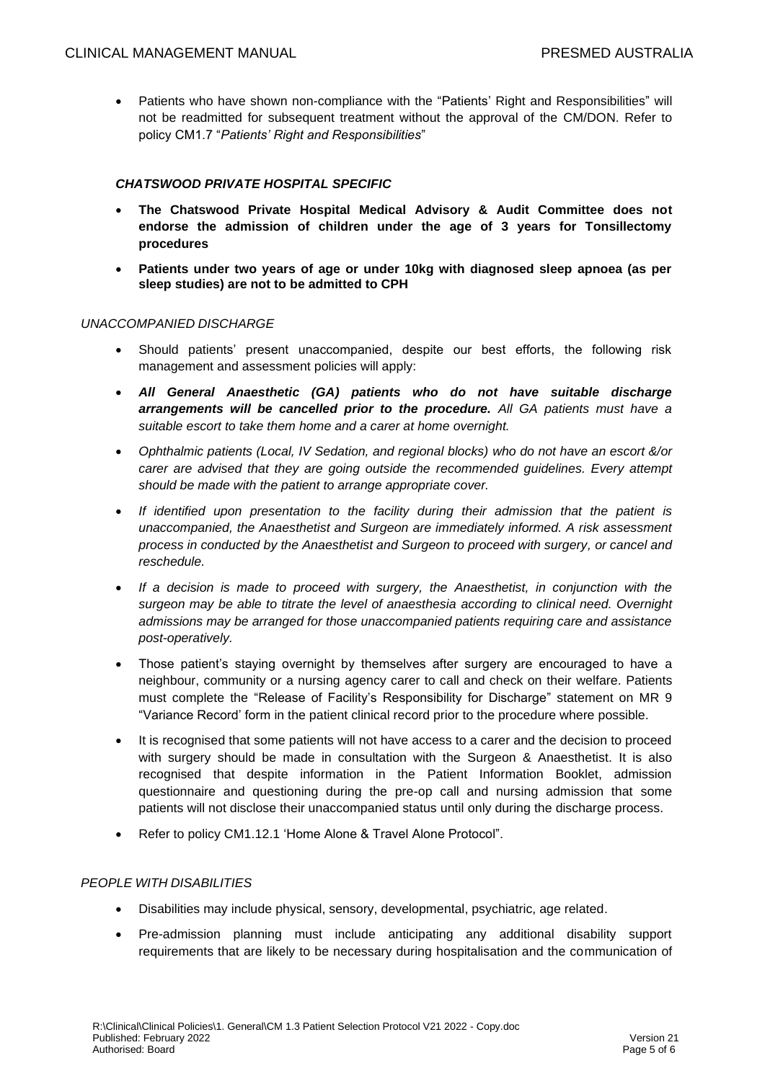• Patients who have shown non-compliance with the "Patients' Right and Responsibilities" will not be readmitted for subsequent treatment without the approval of the CM/DON. Refer to policy CM1.7 "*Patients' Right and Responsibilities*"

# *CHATSWOOD PRIVATE HOSPITAL SPECIFIC*

- **The Chatswood Private Hospital Medical Advisory & Audit Committee does not endorse the admission of children under the age of 3 years for Tonsillectomy procedures**
- **Patients under two years of age or under 10kg with diagnosed sleep apnoea (as per sleep studies) are not to be admitted to CPH**

#### *UNACCOMPANIED DISCHARGE*

- Should patients' present unaccompanied, despite our best efforts, the following risk management and assessment policies will apply:
- *All General Anaesthetic (GA) patients who do not have suitable discharge arrangements will be cancelled prior to the procedure. All GA patients must have a suitable escort to take them home and a carer at home overnight.*
- *Ophthalmic patients (Local, IV Sedation, and regional blocks) who do not have an escort &/or carer are advised that they are going outside the recommended guidelines. Every attempt should be made with the patient to arrange appropriate cover.*
- *If identified upon presentation to the facility during their admission that the patient is unaccompanied, the Anaesthetist and Surgeon are immediately informed. A risk assessment process in conducted by the Anaesthetist and Surgeon to proceed with surgery, or cancel and reschedule.*
- *If a decision is made to proceed with surgery, the Anaesthetist, in conjunction with the surgeon may be able to titrate the level of anaesthesia according to clinical need. Overnight admissions may be arranged for those unaccompanied patients requiring care and assistance post-operatively.*
- Those patient's staying overnight by themselves after surgery are encouraged to have a neighbour, community or a nursing agency carer to call and check on their welfare. Patients must complete the "Release of Facility's Responsibility for Discharge" statement on MR 9 "Variance Record' form in the patient clinical record prior to the procedure where possible.
- It is recognised that some patients will not have access to a carer and the decision to proceed with surgery should be made in consultation with the Surgeon & Anaesthetist. It is also recognised that despite information in the Patient Information Booklet, admission questionnaire and questioning during the pre-op call and nursing admission that some patients will not disclose their unaccompanied status until only during the discharge process.
- Refer to policy CM1.12.1 'Home Alone & Travel Alone Protocol".

#### *PEOPLE WITH DISABILITIES*

- Disabilities may include physical, sensory, developmental, psychiatric, age related.
- Pre-admission planning must include anticipating any additional disability support requirements that are likely to be necessary during hospitalisation and the communication of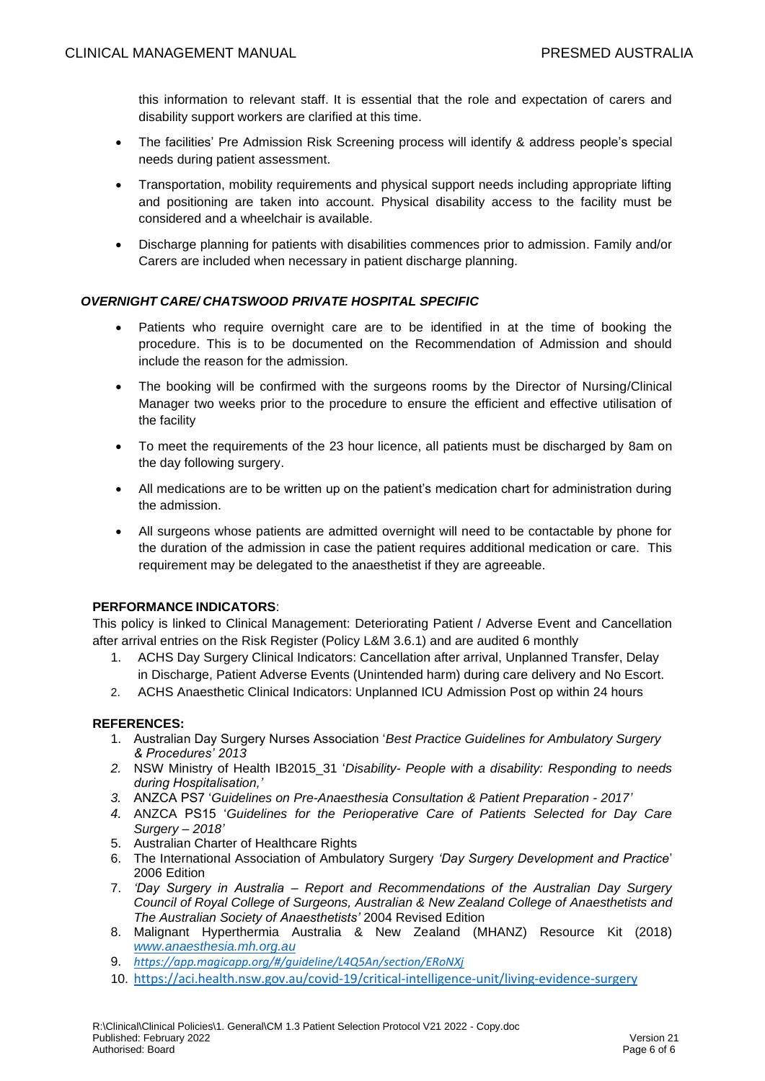this information to relevant staff. It is essential that the role and expectation of carers and disability support workers are clarified at this time.

- The facilities' Pre Admission Risk Screening process will identify & address people's special needs during patient assessment.
- Transportation, mobility requirements and physical support needs including appropriate lifting and positioning are taken into account. Physical disability access to the facility must be considered and a wheelchair is available.
- Discharge planning for patients with disabilities commences prior to admission. Family and/or Carers are included when necessary in patient discharge planning.

## *OVERNIGHT CARE/ CHATSWOOD PRIVATE HOSPITAL SPECIFIC*

- Patients who require overnight care are to be identified in at the time of booking the procedure. This is to be documented on the Recommendation of Admission and should include the reason for the admission.
- The booking will be confirmed with the surgeons rooms by the Director of Nursing/Clinical Manager two weeks prior to the procedure to ensure the efficient and effective utilisation of the facility
- To meet the requirements of the 23 hour licence, all patients must be discharged by 8am on the day following surgery.
- All medications are to be written up on the patient's medication chart for administration during the admission.
- All surgeons whose patients are admitted overnight will need to be contactable by phone for the duration of the admission in case the patient requires additional medication or care. This requirement may be delegated to the anaesthetist if they are agreeable.

#### **PERFORMANCE INDICATORS**:

This policy is linked to Clinical Management: Deteriorating Patient / Adverse Event and Cancellation after arrival entries on the Risk Register (Policy L&M 3.6.1) and are audited 6 monthly

- 1. ACHS Day Surgery Clinical Indicators: Cancellation after arrival, Unplanned Transfer, Delay in Discharge, Patient Adverse Events (Unintended harm) during care delivery and No Escort.
- 2. ACHS Anaesthetic Clinical Indicators: Unplanned ICU Admission Post op within 24 hours

#### **REFERENCES:**

- 1. Australian Day Surgery Nurses Association '*Best Practice Guidelines for Ambulatory Surgery & Procedures' 2013*
- *2.* NSW Ministry of Health IB2015\_31 '*Disability- People with a disability: Responding to needs during Hospitalisation,'*
- *3.* ANZCA PS7 '*Guidelines on Pre-Anaesthesia Consultation & Patient Preparation - 2017'*
- *4.* ANZCA PS15 '*Guidelines for the Perioperative Care of Patients Selected for Day Care Surgery – 2018'*
- 5. Australian Charter of Healthcare Rights
- 6. The International Association of Ambulatory Surgery *'Day Surgery Development and Practice*' 2006 Edition
- 7. *'Day Surgery in Australia – Report and Recommendations of the Australian Day Surgery Council of Royal College of Surgeons, Australian & New Zealand College of Anaesthetists and The Australian Society of Anaesthetists'* 2004 Revised Edition
- 8. Malignant Hyperthermia Australia & New Zealand (MHANZ) Resource Kit (2018) *[www.anaesthesia.mh.org.au](http://www.anaesthesia.mh.org.au/)*
- 9. *<https://app.magicapp.org/#/guideline/L4Q5An/section/ERoNXj>*
- 10. <https://aci.health.nsw.gov.au/covid-19/critical-intelligence-unit/living-evidence-surgery>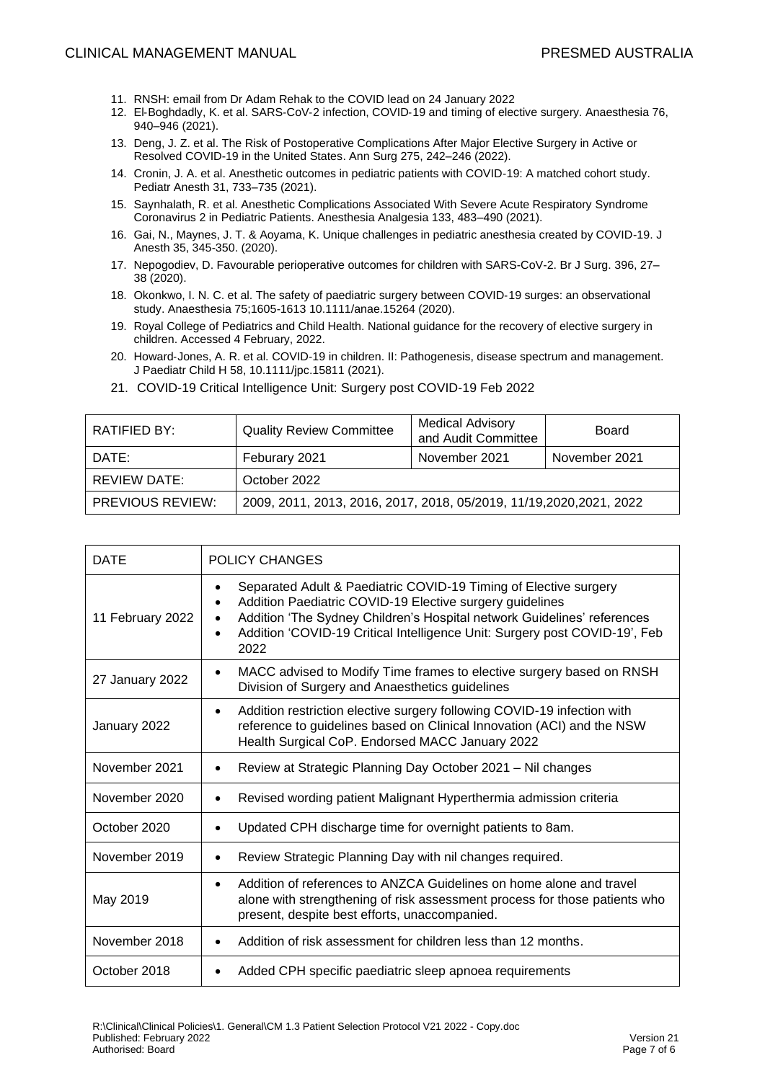- 11. RNSH: email from Dr Adam Rehak to the COVID lead on 24 January 2022
- 12. El‐Boghdadly, K. et al. SARS‐CoV‐2 infection, COVID‐19 and timing of elective surgery. Anaesthesia 76, 940–946 (2021).
- 13. Deng, J. Z. et al. The Risk of Postoperative Complications After Major Elective Surgery in Active or Resolved COVID-19 in the United States. Ann Surg 275, 242–246 (2022).
- 14. Cronin, J. A. et al. Anesthetic outcomes in pediatric patients with COVID‐19: A matched cohort study. Pediatr Anesth 31, 733–735 (2021).
- 15. Saynhalath, R. et al. Anesthetic Complications Associated With Severe Acute Respiratory Syndrome Coronavirus 2 in Pediatric Patients. Anesthesia Analgesia 133, 483–490 (2021).
- 16. Gai, N., Maynes, J. T. & Aoyama, K. Unique challenges in pediatric anesthesia created by COVID-19. J Anesth 35, 345-350. (2020).
- 17. Nepogodiev, D. Favourable perioperative outcomes for children with SARS-CoV-2. Br J Surg. 396, 27– 38 (2020).
- 18. Okonkwo, I. N. C. et al. The safety of paediatric surgery between COVID‐19 surges: an observational study. Anaesthesia 75;1605-1613 10.1111/anae.15264 (2020).
- 19. Royal College of Pediatrics and Child Health. National guidance for the recovery of elective surgery in children. Accessed 4 February, 2022.
- 20. Howard‐Jones, A. R. et al. COVID‐19 in children. II: Pathogenesis, disease spectrum and management. J Paediatr Child H 58, 10.1111/jpc.15811 (2021).

| RATIFIED BY:            | <b>Quality Review Committee</b>                                      | <b>Medical Advisory</b><br>and Audit Committee | <b>Board</b>  |
|-------------------------|----------------------------------------------------------------------|------------------------------------------------|---------------|
| DATE:                   | Feburary 2021                                                        | November 2021                                  | November 2021 |
| <b>REVIEW DATE:</b>     | October 2022                                                         |                                                |               |
| <b>PREVIOUS REVIEW:</b> | 2009, 2011, 2013, 2016, 2017, 2018, 05/2019, 11/19, 2020, 2021, 2022 |                                                |               |

21. COVID-19 Critical Intelligence Unit: Surgery post COVID-19 Feb 2022

| <b>DATE</b>      | POLICY CHANGES                                                                                                                                                                                                                                                                                                          |  |
|------------------|-------------------------------------------------------------------------------------------------------------------------------------------------------------------------------------------------------------------------------------------------------------------------------------------------------------------------|--|
| 11 February 2022 | Separated Adult & Paediatric COVID-19 Timing of Elective surgery<br>$\bullet$<br>Addition Paediatric COVID-19 Elective surgery guidelines<br>Addition 'The Sydney Children's Hospital network Guidelines' references<br>$\bullet$<br>Addition 'COVID-19 Critical Intelligence Unit: Surgery post COVID-19', Feb<br>2022 |  |
| 27 January 2022  | MACC advised to Modify Time frames to elective surgery based on RNSH<br>$\bullet$<br>Division of Surgery and Anaesthetics guidelines                                                                                                                                                                                    |  |
| January 2022     | Addition restriction elective surgery following COVID-19 infection with<br>$\bullet$<br>reference to guidelines based on Clinical Innovation (ACI) and the NSW<br>Health Surgical CoP. Endorsed MACC January 2022                                                                                                       |  |
| November 2021    | Review at Strategic Planning Day October 2021 - Nil changes<br>$\bullet$                                                                                                                                                                                                                                                |  |
| November 2020    | Revised wording patient Malignant Hyperthermia admission criteria                                                                                                                                                                                                                                                       |  |
| October 2020     | Updated CPH discharge time for overnight patients to 8am.                                                                                                                                                                                                                                                               |  |
| November 2019    | Review Strategic Planning Day with nil changes required.<br>٠                                                                                                                                                                                                                                                           |  |
| May 2019         | Addition of references to ANZCA Guidelines on home alone and travel<br>$\bullet$<br>alone with strengthening of risk assessment process for those patients who<br>present, despite best efforts, unaccompanied.                                                                                                         |  |
| November 2018    | Addition of risk assessment for children less than 12 months.<br>$\bullet$                                                                                                                                                                                                                                              |  |
| October 2018     | Added CPH specific paediatric sleep apnoea requirements                                                                                                                                                                                                                                                                 |  |